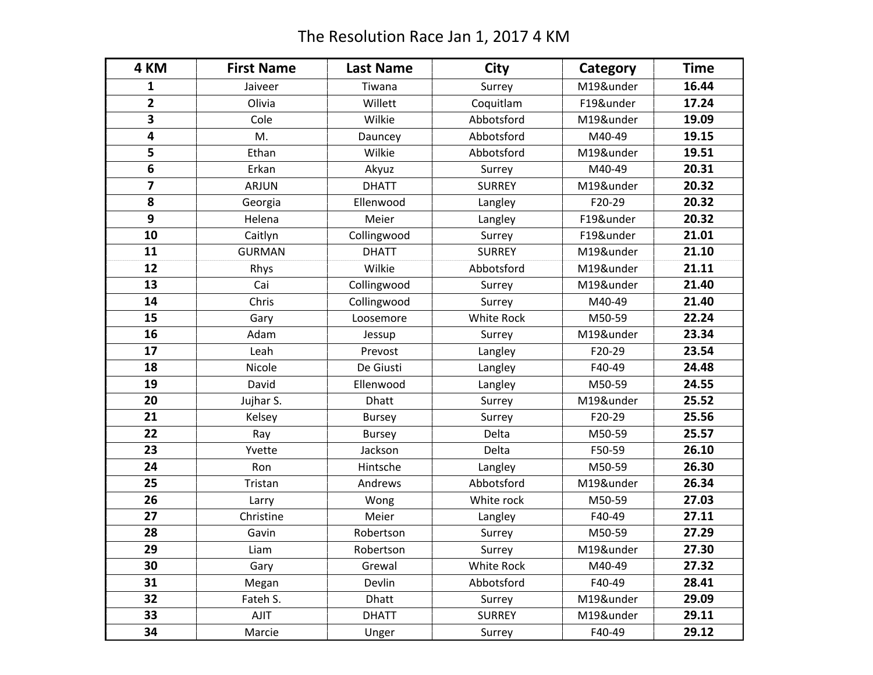## The Resolution Race Jan 1, 2017 4 KM

| 4 KM           | <b>First Name</b> | <b>Last Name</b> | City              | Category  | <b>Time</b> |
|----------------|-------------------|------------------|-------------------|-----------|-------------|
| 1              | Jaiveer           | Tiwana           | Surrey            | M19&under | 16.44       |
| $\overline{2}$ | Olivia            | Willett          | Coquitlam         | F19&under | 17.24       |
| 3              | Cole              | Wilkie           | Abbotsford        | M19&under | 19.09       |
| 4              | M.                | Dauncey          | Abbotsford        | M40-49    | 19.15       |
| 5              | Ethan             | Wilkie           | Abbotsford        | M19&under | 19.51       |
| 6              | Erkan             | Akyuz            | Surrey            | M40-49    | 20.31       |
| 7              | <b>ARJUN</b>      | <b>DHATT</b>     | <b>SURREY</b>     | M19&under | 20.32       |
| 8              | Georgia           | Ellenwood        | Langley           | F20-29    | 20.32       |
| 9              | Helena            | Meier            | Langley           | F19&under | 20.32       |
| 10             | Caitlyn           | Collingwood      | Surrey            | F19&under | 21.01       |
| 11             | <b>GURMAN</b>     | <b>DHATT</b>     | <b>SURREY</b>     | M19&under | 21.10       |
| 12             | Rhys              | Wilkie           | Abbotsford        | M19&under | 21.11       |
| 13             | Cai               | Collingwood      | Surrey            | M19&under | 21.40       |
| 14             | Chris             | Collingwood      | Surrey            | M40-49    | 21.40       |
| 15             | Gary              | Loosemore        | <b>White Rock</b> | M50-59    | 22.24       |
| 16             | Adam              | Jessup           | Surrey            | M19&under | 23.34       |
| 17             | Leah              | Prevost          | Langley           | F20-29    | 23.54       |
| 18             | Nicole            | De Giusti        | Langley           | F40-49    | 24.48       |
| 19             | David             | Ellenwood        | Langley           | M50-59    | 24.55       |
| 20             | Jujhar S.         | <b>Dhatt</b>     | Surrey            | M19&under | 25.52       |
| 21             | Kelsey            | <b>Bursey</b>    | Surrey            | F20-29    | 25.56       |
| 22             | Ray               | <b>Bursey</b>    | Delta             | M50-59    | 25.57       |
| 23             | Yvette            | Jackson          | Delta             | F50-59    | 26.10       |
| 24             | Ron               | Hintsche         | Langley           | M50-59    | 26.30       |
| 25             | Tristan           | Andrews          | Abbotsford        | M19&under | 26.34       |
| 26             | Larry             | Wong             | White rock        | M50-59    | 27.03       |
| 27             | Christine         | Meier            | Langley           | F40-49    | 27.11       |
| 28             | Gavin             | Robertson        | Surrey            | M50-59    | 27.29       |
| 29             | Liam              | Robertson        | Surrey            | M19&under | 27.30       |
| 30             | Gary              | Grewal           | <b>White Rock</b> | M40-49    | 27.32       |
| 31             | Megan             | Devlin           | Abbotsford        | F40-49    | 28.41       |
| 32             | Fateh S.          | <b>Dhatt</b>     | Surrey            | M19&under | 29.09       |
| 33             | <b>AJIT</b>       | <b>DHATT</b>     | <b>SURREY</b>     | M19&under | 29.11       |
| 34             | Marcie            | Unger            | Surrey            | F40-49    | 29.12       |